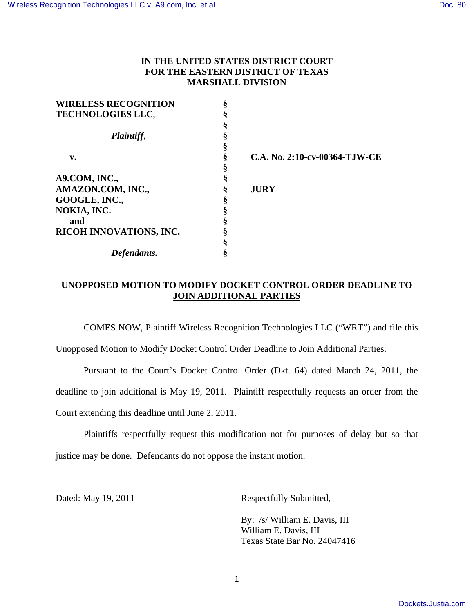# **IN THE UNITED STATES DISTRICT COURT FOR THE EASTERN DISTRICT OF TEXAS MARSHALL DIVISION**

| <b>WIRELESS RECOGNITION</b> | § |
|-----------------------------|---|
| <b>TECHNOLOGIES LLC.</b>    |   |
|                             |   |
| Plaintiff,                  |   |
|                             |   |
| v.                          |   |
|                             |   |
| A9.COM, INC.,               |   |
| AMAZON.COM, INC.,           |   |
| GOOGLE, INC.,               |   |
| NOKIA, INC.                 |   |
| and                         |   |
| RICOH INNOVATIONS, INC.     |   |
|                             |   |
| Defendants.                 |   |

**v. § C.A. No. 2:10-cv-00364-TJW-CE** 

 $JURY$ 

# **UNOPPOSED MOTION TO MODIFY DOCKET CONTROL ORDER DEADLINE TO JOIN ADDITIONAL PARTIES**

COMES NOW, Plaintiff Wireless Recognition Technologies LLC ("WRT") and file this

Unopposed Motion to Modify Docket Control Order Deadline to Join Additional Parties.

 Pursuant to the Court's Docket Control Order (Dkt. 64) dated March 24, 2011, the deadline to join additional is May 19, 2011. Plaintiff respectfully requests an order from the Court extending this deadline until June 2, 2011.

 Plaintiffs respectfully request this modification not for purposes of delay but so that justice may be done. Defendants do not oppose the instant motion.

Dated: May 19, 2011 Respectfully Submitted,

By: /s/ William E. Davis, III William E. Davis, III Texas State Bar No. 24047416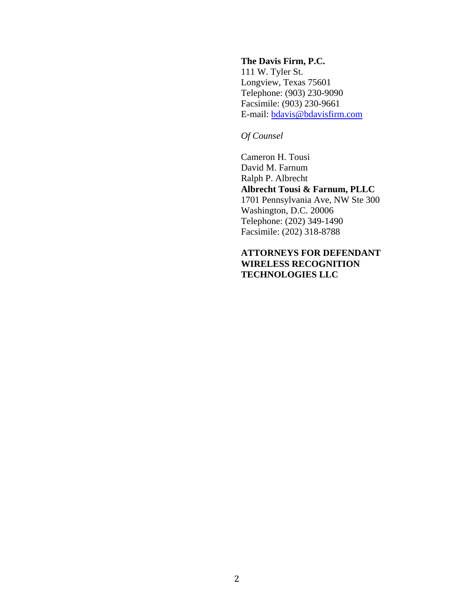#### **The Davis Firm, P.C.**

111 W. Tyler St. Longview, Texas 75601 Telephone: (903) 230-9090 Facsimile: (903) 230-9661 E-mail: bdavis@bdavisfirm.com

# *Of Counsel*

Cameron H. Tousi David M. Farnum Ralph P. Albrecht **Albrecht Tousi & Farnum, PLLC**  1701 Pennsylvania Ave, NW Ste 300 Washington, D.C. 20006 Telephone: (202) 349-1490 Facsimile: (202) 318-8788

## **ATTORNEYS FOR DEFENDANT WIRELESS RECOGNITION TECHNOLOGIES LLC**